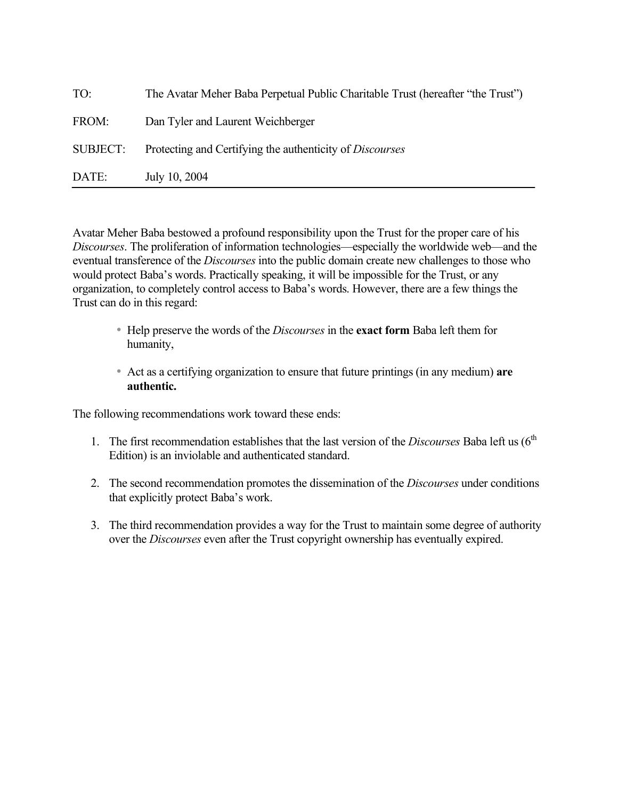| TO:      | The Avatar Meher Baba Perpetual Public Charitable Trust (hereafter "the Trust") |  |
|----------|---------------------------------------------------------------------------------|--|
| FROM:    | Dan Tyler and Laurent Weichberger                                               |  |
| SUBJECT: | Protecting and Certifying the authenticity of <i>Discourses</i>                 |  |
| DATE:    | July 10, 2004                                                                   |  |

Avatar Meher Baba bestowed a profound responsibility upon the Trust for the proper care of his *Discourses*. The proliferation of information technologies—especially the worldwide web—and the eventual transference of the *Discourses* into the public domain create new challenges to those who would protect Baba's words. Practically speaking, it will be impossible for the Trust, or any organization, to completely control access to Baba's words. However, there are a few things the Trust can do in this regard:

- Help preserve the words of the *Discourses* in the **exact form** Baba left them for humanity,
- Act as a certifying organization to ensure that future printings (in any medium) **are authentic.**

The following recommendations work toward these ends:

- 1. The first recommendation establishes that the last version of the *Discourses* Baba left us  $(6<sup>th</sup>$ Edition) is an inviolable and authenticated standard.
- 2. The second recommendation promotes the dissemination of the *Discourses* under conditions that explicitly protect Baba's work.
- 3. The third recommendation provides a way for the Trust to maintain some degree of authority over the *Discourses* even after the Trust copyright ownership has eventually expired.